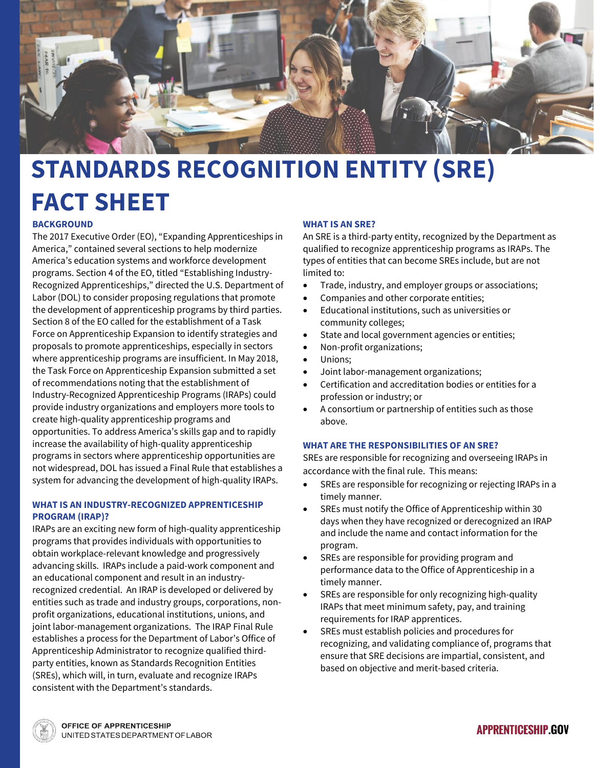

# **STANDARDS RECOGNITION ENTITY (SRE) FACT SHEET**

# **BACKGROUND**

The 2017 Executive Order (EO), "Expanding Apprenticeships in America," contained several sections to help modernize America's education systems and workforce development programs. Section 4 of the EO, titled "Establishing Industry-Recognized Apprenticeships," directed the U.S. Department of Labor (DOL) to consider proposing regulations that promote the development of apprenticeship programs by third parties. Section 8 of the EO called for the establishment of a Task Force on Apprenticeship Expansion to identify strategies and proposals to promote apprenticeships, especially in sectors where apprenticeship programs are insufficient. In May 2018, the Task Force on Apprenticeship Expansion submitted a set of recommendations noting that the establishment of Industry-Recognized Apprenticeship Programs (IRAPs) could provide industry organizations and employers more tools to create high-quality apprenticeship programs and opportunities. To address America's skills gap and to rapidly increase the availability of high-quality apprenticeship programs in sectors where apprenticeship opportunities are not widespread, DOL has issued a Final Rule that establishes a system for advancing the development of high-quality IRAPs.

## **WHAT IS AN INDUSTRY-RECOGNIZED APPRENTICESHIP PROGRAM (IRAP)?**

IRAPs are an exciting new form of high-quality apprenticeship programs that provides individuals with opportunities to obtain workplace-relevant knowledge and progressively advancing skills. IRAPs include a paid-work component and an educational component and result in an industryrecognized credential. An IRAP is developed or delivered by entities such as trade and industry groups, corporations, nonprofit organizations, educational institutions, unions, and joint labor-management organizations. The IRAP Final Rule establishes a process for the Department of Labor's Office of Apprenticeship Administrator to recognize qualified thirdparty entities, known as Standards Recognition Entities (SREs), which will, in turn, evaluate and recognize IRAPs consistent with the Department's standards.

# **WHAT IS AN SRE?**

An SRE is a third-party entity, recognized by the Department as qualified to recognize apprenticeship programs as IRAPs. The types of entities that can become SREs include, but are not limited to:

- Trade, industry, and employer groups or associations;
- Companies and other corporate entities;
- Educational institutions, such as universities or community colleges;
- State and local government agencies or entities;
- Non-profit organizations;
- Unions:
- Joint labor-management organizations;
- Certification and accreditation bodies or entities for a profession or industry; or
- A consortium or partnership of entities such as those above.

#### **WHAT ARE THE RESPONSIBILITIES OF AN SRE?**

SREs are responsible for recognizing and overseeing IRAPs in accordance with the final rule. This means:

- SREs are responsible for recognizing or rejecting IRAPs in a timely manner.
- SREs must notify the Office of Apprenticeship within 30 days when they have recognized or derecognized an IRAP and include the name and contact information for the program.
- SREs are responsible for providing program and performance data to the Office of Apprenticeship in a timely manner.
- SREs are responsible for only recognizing high-quality IRAPs that meet minimum safety, pay, and training requirements for IRAP apprentices.
- SREs must establish policies and procedures for recognizing, and validating compliance of, programs that ensure that SRE decisions are impartial, consistent, and based on objective and merit-based criteria.